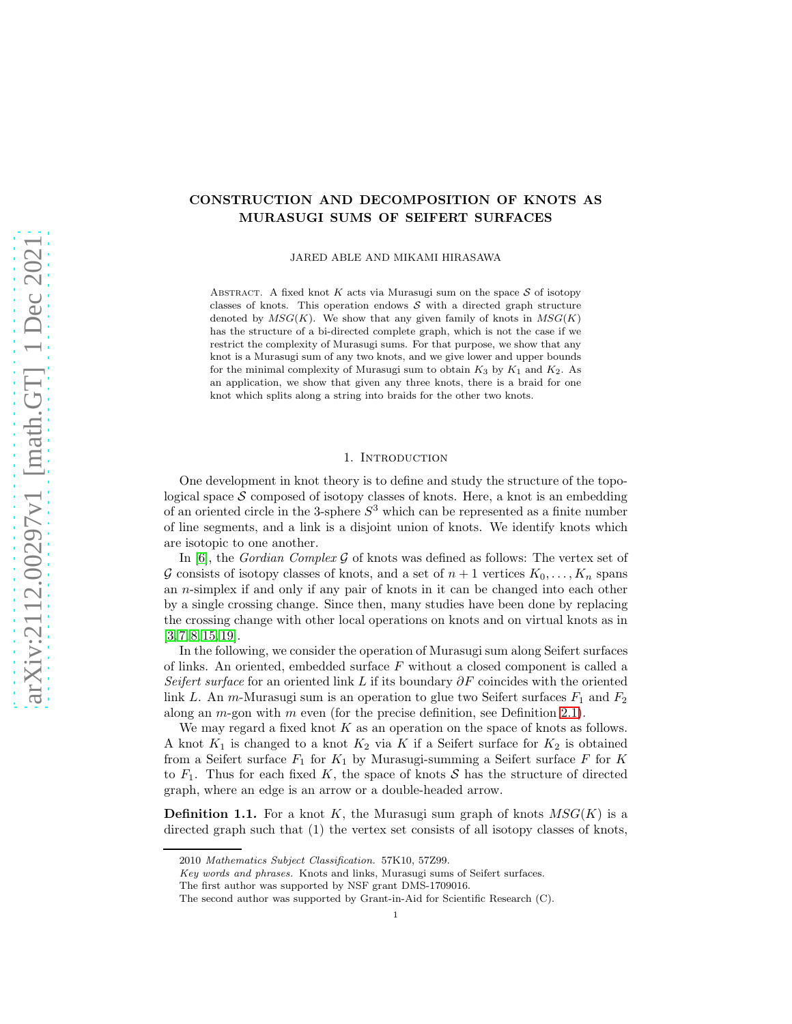# CONSTRUCTION AND DECOMPOSITION OF KNOTS AS MURASUGI SUMS OF SEIFERT SURFACES

JARED ABLE AND MIKAMI HIRASAWA

ABSTRACT. A fixed knot  $K$  acts via Murasugi sum on the space  $S$  of isotopy classes of knots. This operation endows  $S$  with a directed graph structure denoted by  $MSG(K)$ . We show that any given family of knots in  $MSG(K)$ has the structure of a bi-directed complete graph, which is not the case if we restrict the complexity of Murasugi sums. For that purpose, we show that any knot is a Murasugi sum of any two knots, and we give lower and upper bounds for the minimal complexity of Murasugi sum to obtain  $K_3$  by  $K_1$  and  $K_2$ . As an application, we show that given any three knots, there is a braid for one knot which splits along a string into braids for the other two knots.

## 1. INTRODUCTION

One development in knot theory is to define and study the structure of the topological space  $S$  composed of isotopy classes of knots. Here, a knot is an embedding of an oriented circle in the 3-sphere  $S^3$  which can be represented as a finite number of line segments, and a link is a disjoint union of knots. We identify knots which are isotopic to one another.

In [\[6\]](#page-13-0), the *Gordian Complex* G of knots was defined as follows: The vertex set of G consists of isotopy classes of knots, and a set of  $n+1$  vertices  $K_0, \ldots, K_n$  spans an n-simplex if and only if any pair of knots in it can be changed into each other by a single crossing change. Since then, many studies have been done by replacing the crossing change with other local operations on knots and on virtual knots as in  $[3, 7, 8, 15, 19].$  $[3, 7, 8, 15, 19].$  $[3, 7, 8, 15, 19].$  $[3, 7, 8, 15, 19].$  $[3, 7, 8, 15, 19].$  $[3, 7, 8, 15, 19].$ 

In the following, we consider the operation of Murasugi sum along Seifert surfaces of links. An oriented, embedded surface F without a closed component is called a *Seifert surface* for an oriented link L if its boundary  $\partial F$  coincides with the oriented link L. An m-Murasugi sum is an operation to glue two Seifert surfaces  $F_1$  and  $F_2$ along an  $m$ -gon with  $m$  even (for the precise definition, see Definition [2.1\)](#page-2-0).

We may regard a fixed knot  $K$  as an operation on the space of knots as follows. A knot  $K_1$  is changed to a knot  $K_2$  via K if a Seifert surface for  $K_2$  is obtained from a Seifert surface  $F_1$  for  $K_1$  by Murasugi-summing a Seifert surface F for K to  $F_1$ . Thus for each fixed K, the space of knots S has the structure of directed graph, where an edge is an arrow or a double-headed arrow.

**Definition 1.1.** For a knot K, the Murasugi sum graph of knots  $MSG(K)$  is a directed graph such that (1) the vertex set consists of all isotopy classes of knots,

<sup>2010</sup> Mathematics Subject Classification. 57K10, 57Z99.

Key words and phrases. Knots and links, Murasugi sums of Seifert surfaces.

The first author was supported by NSF grant DMS-1709016.

The second author was supported by Grant-in-Aid for Scientific Research (C).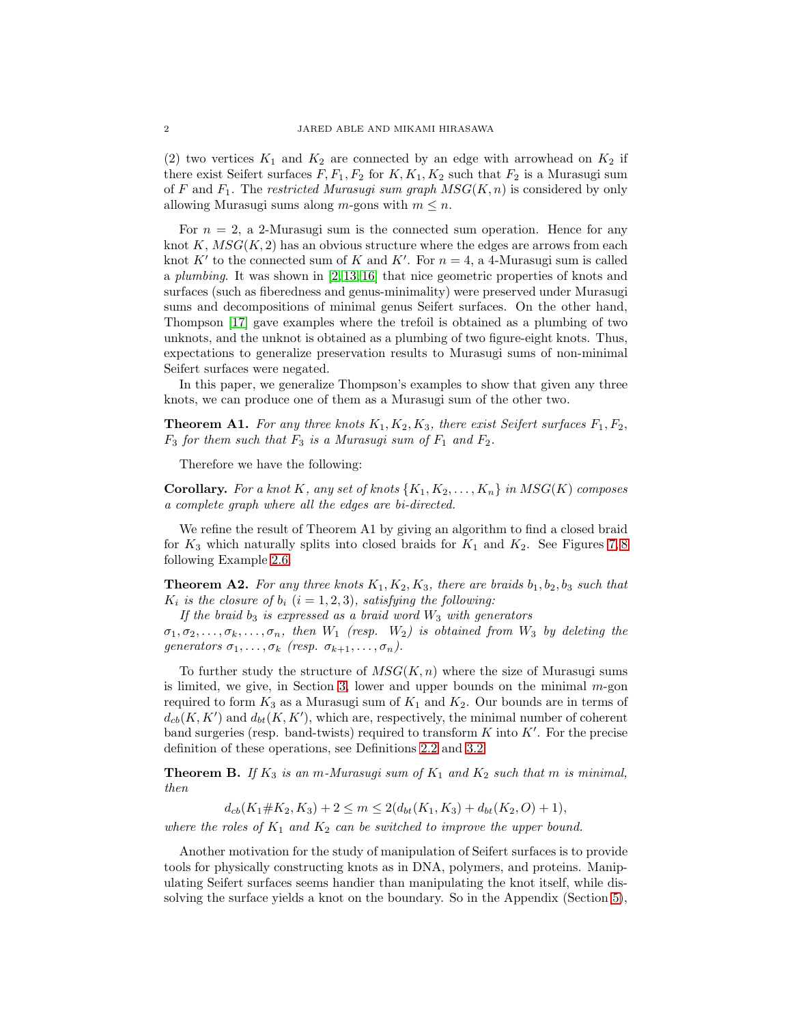(2) two vertices  $K_1$  and  $K_2$  are connected by an edge with arrowhead on  $K_2$  if there exist Seifert surfaces  $F, F_1, F_2$  for  $K, K_1, K_2$  such that  $F_2$  is a Murasugi sum of F and F1. The *restricted Murasugi sum graph* MSG(K, n) is considered by only allowing Murasugi sums along m-gons with  $m \leq n$ .

For  $n = 2$ , a 2-Murasugi sum is the connected sum operation. Hence for any knot K,  $MSG(K, 2)$  has an obvious structure where the edges are arrows from each knot K' to the connected sum of K and K'. For  $n = 4$ , a 4-Murasugi sum is called a *plumbing*. It was shown in [\[2,](#page-13-2) [13,](#page-14-4) [16\]](#page-14-5) that nice geometric properties of knots and surfaces (such as fiberedness and genus-minimality) were preserved under Murasugi sums and decompositions of minimal genus Seifert surfaces. On the other hand, Thompson [\[17\]](#page-14-6) gave examples where the trefoil is obtained as a plumbing of two unknots, and the unknot is obtained as a plumbing of two figure-eight knots. Thus, expectations to generalize preservation results to Murasugi sums of non-minimal Seifert surfaces were negated.

In this paper, we generalize Thompson's examples to show that given any three knots, we can produce one of them as a Murasugi sum of the other two.

**Theorem A1.** For any three knots  $K_1, K_2, K_3$ , there exist Seifert surfaces  $F_1, F_2$ ,  $F_3$  *for them such that*  $F_3$  *is a Murasugi sum of*  $F_1$  *and*  $F_2$ *.* 

Therefore we have the following:

**Corollary.** For a knot K, any set of knots  $\{K_1, K_2, \ldots, K_n\}$  in  $MSG(K)$  composes *a complete graph where all the edges are bi-directed.*

We refine the result of Theorem A1 by giving an algorithm to find a closed braid for  $K_3$  which naturally splits into closed braids for  $K_1$  and  $K_2$ . See Figures [7,](#page-5-0)8 following Example [2.6.](#page-5-1)

**Theorem A2.** For any three knots  $K_1, K_2, K_3$ , there are braids  $b_1, b_2, b_3$  such that  $K_i$  *is the closure of*  $b_i$  ( $i = 1, 2, 3$ )*, satisfying the following:* 

*If the braid*  $b_3$  *is expressed as a braid word*  $W_3$  *with generators* 

 $\sigma_1, \sigma_2, \ldots, \sigma_k, \ldots, \sigma_n$ , then  $W_1$  (resp.  $W_2$ ) is obtained from  $W_3$  by deleting the *generators*  $\sigma_1, \ldots, \sigma_k$  *(resp.*  $\sigma_{k+1}, \ldots, \sigma_n$ ).

To further study the structure of  $MSG(K, n)$  where the size of Murasugi sums is limited, we give, in Section [3,](#page-6-1) lower and upper bounds on the minimal  $m$ -gon required to form  $K_3$  as a Murasugi sum of  $K_1$  and  $K_2$ . Our bounds are in terms of  $d_{cb}(K, K')$  and  $d_{bt}(K, K')$ , which are, respectively, the minimal number of coherent band surgeries (resp. band-twists) required to transform  $K$  into  $K'$ . For the precise definition of these operations, see Definitions [2.2](#page-2-1) and [3.2.](#page-7-0)

**Theorem B.** If  $K_3$  *is an m-Murasugi sum of*  $K_1$  *and*  $K_2$  *such that* m *is minimal*, *then*

 $d_{cb}(K_1\# K_2, K_3) + 2 \leq m \leq 2(d_{bt}(K_1, K_3) + d_{bt}(K_2, O) + 1),$ 

*where the roles of*  $K_1$  *and*  $K_2$  *can be switched to improve the upper bound.* 

Another motivation for the study of manipulation of Seifert surfaces is to provide tools for physically constructing knots as in DNA, polymers, and proteins. Manipulating Seifert surfaces seems handier than manipulating the knot itself, while dissolving the surface yields a knot on the boundary. So in the Appendix (Section [5\)](#page-12-0),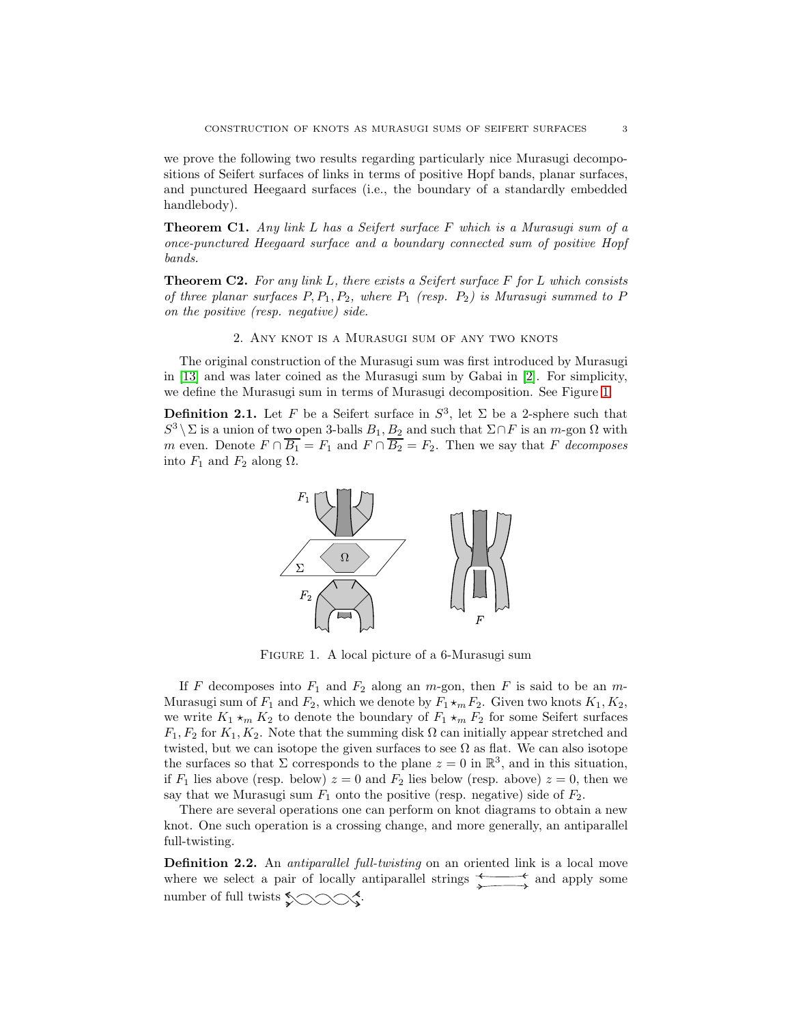we prove the following two results regarding particularly nice Murasugi decompositions of Seifert surfaces of links in terms of positive Hopf bands, planar surfaces, and punctured Heegaard surfaces (i.e., the boundary of a standardly embedded handlebody).

Theorem C1. *Any link* L *has a Seifert surface* F *which is a Murasugi sum of a once-punctured Heegaard surface and a boundary connected sum of positive Hopf bands.*

Theorem C2. *For any link* L*, there exists a Seifert surface* F *for* L *which consists of three planar surfaces* P, P1, P2*, where* P<sup>1</sup> *(resp.* P2*) is Murasugi summed to* P *on the positive (resp. negative) side.*

2. Any knot is a Murasugi sum of any two knots

The original construction of the Murasugi sum was first introduced by Murasugi in [\[13\]](#page-14-4) and was later coined as the Murasugi sum by Gabai in [\[2\]](#page-13-2). For simplicity, we define the Murasugi sum in terms of Murasugi decomposition. See Figure [1.](#page-2-2)

<span id="page-2-2"></span><span id="page-2-0"></span>**Definition 2.1.** Let F be a Seifert surface in  $S^3$ , let  $\Sigma$  be a 2-sphere such that S<sup>3</sup> \  $\Sigma$  is a union of two open 3-balls  $B_1, B_2$  and such that  $\Sigma \cap F$  is an m-gon  $\Omega$  with m even. Denote  $F \cap \overline{B_1} = F_1$  and  $F \cap \overline{B_2} = F_2$ . Then we say that F *decomposes* into  $F_1$  and  $F_2$  along  $\Omega$ .



Figure 1. A local picture of a 6-Murasugi sum

If F decomposes into  $F_1$  and  $F_2$  along an m-gon, then F is said to be an m-Murasugi sum of  $F_1$  and  $F_2$ , which we denote by  $F_1 \star_m F_2$ . Given two knots  $K_1, K_2$ , we write  $K_1 \star_m K_2$  to denote the boundary of  $F_1 \star_m F_2$  for some Seifert surfaces  $F_1, F_2$  for  $K_1, K_2$ . Note that the summing disk  $\Omega$  can initially appear stretched and twisted, but we can isotope the given surfaces to see  $\Omega$  as flat. We can also isotope the surfaces so that  $\Sigma$  corresponds to the plane  $z = 0$  in  $\mathbb{R}^3$ , and in this situation, if  $F_1$  lies above (resp. below)  $z = 0$  and  $F_2$  lies below (resp. above)  $z = 0$ , then we say that we Murasugi sum  $F_1$  onto the positive (resp. negative) side of  $F_2$ .

There are several operations one can perform on knot diagrams to obtain a new knot. One such operation is a crossing change, and more generally, an antiparallel full-twisting.

<span id="page-2-1"></span>Definition 2.2. An *antiparallel full-twisting* on an oriented link is a local move where we select a pair of locally antiparallel strings  $\longleftrightarrow$  and apply some number of full twists  $\sim$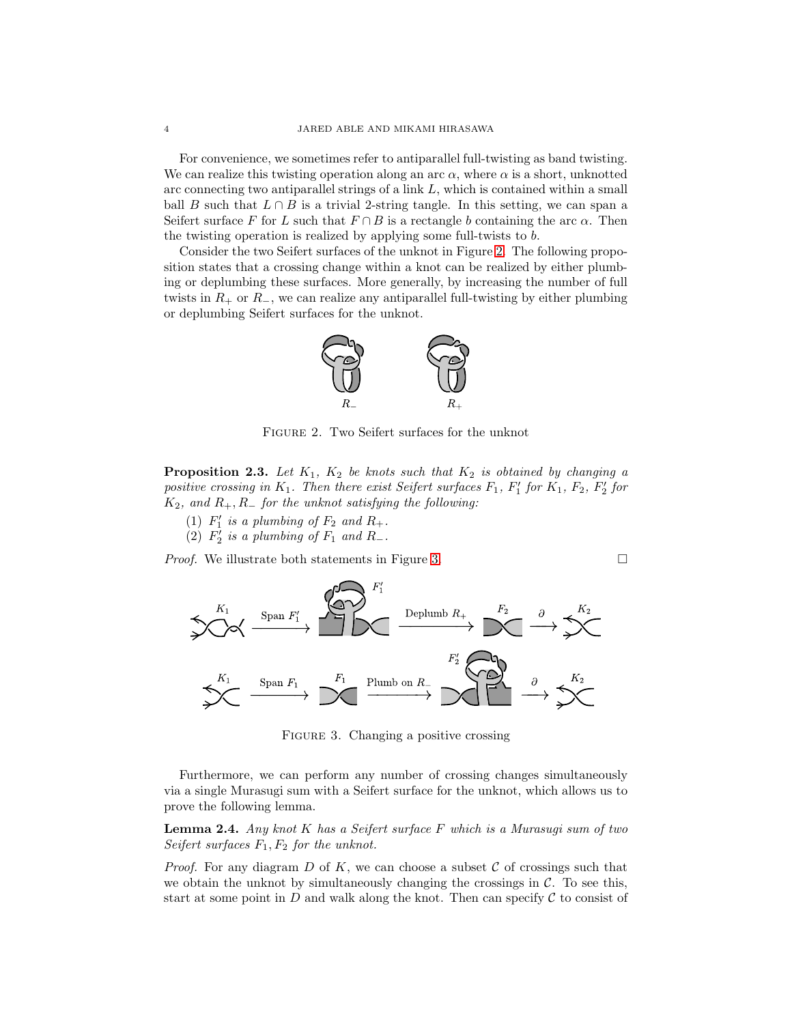For convenience, we sometimes refer to antiparallel full-twisting as band twisting. We can realize this twisting operation along an arc  $\alpha$ , where  $\alpha$  is a short, unknotted arc connecting two antiparallel strings of a link  $L$ , which is contained within a small ball B such that  $L \cap B$  is a trivial 2-string tangle. In this setting, we can span a Seifert surface F for L such that  $F \cap B$  is a rectangle b containing the arc  $\alpha$ . Then the twisting operation is realized by applying some full-twists to b.

<span id="page-3-0"></span>Consider the two Seifert surfaces of the unknot in Figure [2.](#page-3-0) The following proposition states that a crossing change within a knot can be realized by either plumbing or deplumbing these surfaces. More generally, by increasing the number of full twists in  $R_+$  or  $R_-$ , we can realize any antiparallel full-twisting by either plumbing or deplumbing Seifert surfaces for the unknot.



Figure 2. Two Seifert surfaces for the unknot

**Proposition 2.3.** Let  $K_1$ ,  $K_2$  be knots such that  $K_2$  is obtained by changing a positive crossing in  $K_1$ . Then there exist Seifert surfaces  $F_1$ ,  $F'_1$  for  $K_1$ ,  $F_2$ ,  $F'_2$  for K2*, and* R+, R<sup>−</sup> *for the unknot satisfying the following:*

- (1)  $F'_1$  is a plumbing of  $F_2$  and  $R_+$ .
- $\left(2\right)$   $F_2'$  is a plumbing of  $F_1$  and  $R_$ .

<span id="page-3-1"></span>*Proof.* We illustrate both statements in Figure [3.](#page-3-1)  $\Box$ 

FIGURE 3. Changing a positive crossing

Furthermore, we can perform any number of crossing changes simultaneously via a single Murasugi sum with a Seifert surface for the unknot, which allows us to prove the following lemma.

<span id="page-3-2"></span>Lemma 2.4. *Any knot* K *has a Seifert surface* F *which is a Murasugi sum of two Seifert surfaces*  $F_1, F_2$  *for the unknot.* 

*Proof.* For any diagram  $D$  of  $K$ , we can choose a subset  $C$  of crossings such that we obtain the unknot by simultaneously changing the crossings in  $\mathcal{C}$ . To see this, start at some point in  $D$  and walk along the knot. Then can specify  $\mathcal C$  to consist of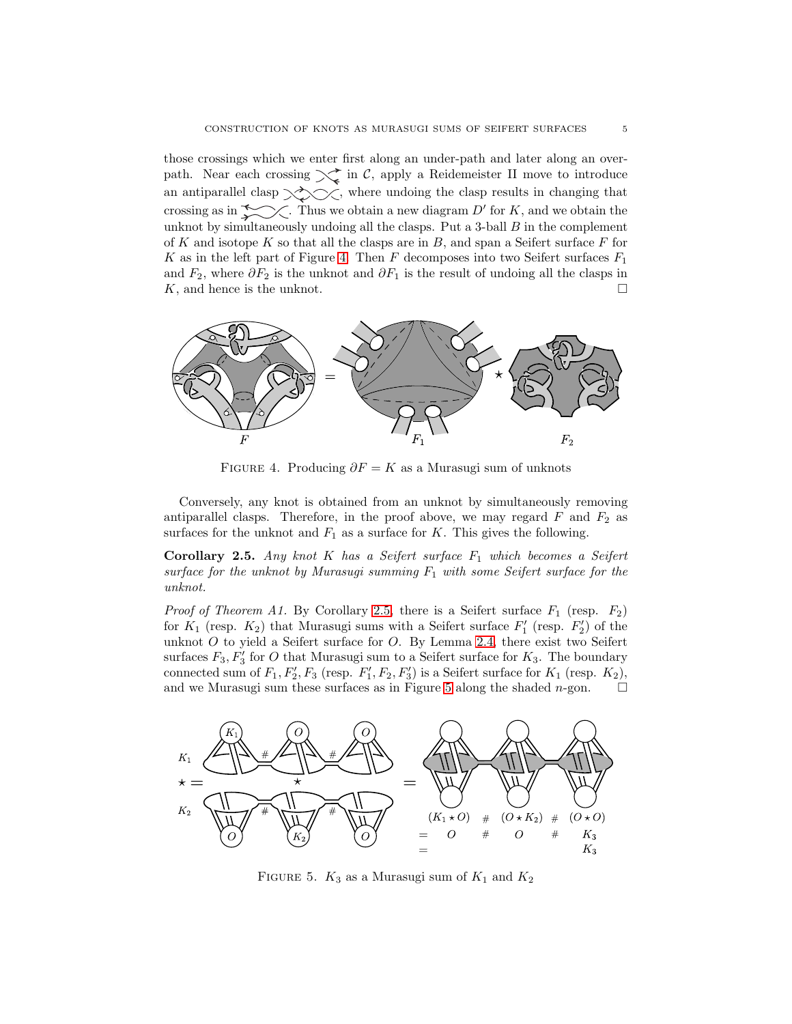those crossings which we enter first along an under-path and later along an overpath. Near each crossing  $\searrow$  in C, apply a Reidemeister II move to introduce an antiparallel clasp  $\diagup\diagdown\diagdown\diagdown$  , where undoing the clasp results in changing that crossing as in  $\sim$  Thus we obtain a new diagram D' for K, and we obtain the unknot by simultaneously undoing all the clasps. Put a 3-ball  $B$  in the complement of K and isotope K so that all the clasps are in  $B$ , and span a Seifert surface  $F$  for K as in the left part of Figure [4.](#page-4-0) Then F decomposes into two Seifert surfaces  $F_1$ and  $F_2$ , where  $\partial F_2$  is the unknot and  $\partial F_1$  is the result of undoing all the clasps in  $K$ , and hence is the unknot.

<span id="page-4-0"></span>

FIGURE 4. Producing  $\partial F = K$  as a Murasugi sum of unknots

Conversely, any knot is obtained from an unknot by simultaneously removing antiparallel clasps. Therefore, in the proof above, we may regard  $F$  and  $F_2$  as surfaces for the unknot and  $F_1$  as a surface for K. This gives the following.

<span id="page-4-1"></span>Corollary 2.5. *Any knot* K *has a Seifert surface* F<sup>1</sup> *which becomes a Seifert surface for the unknot by Murasugi summing* F<sup>1</sup> *with some Seifert surface for the unknot.*

*Proof of Theorem A1.* By Corollary [2.5,](#page-4-1) there is a Seifert surface  $F_1$  (resp.  $F_2$ ) for  $K_1$  (resp.  $K_2$ ) that Murasugi sums with a Seifert surface  $F'_1$  (resp.  $F'_2$ ) of the unknot  $O$  to yield a Seifert surface for  $O$ . By Lemma [2.4,](#page-3-2) there exist two Seifert surfaces  $F_3, F'_3$  for O that Murasugi sum to a Seifert surface for  $K_3$ . The boundary connected sum of  $F_1, F_2', F_3$  (resp.  $F_1', F_2, F_3'$ ) is a Seifert surface for  $K_1$  (resp.  $K_2$ ), and we Murasugi sum these surfaces as in Figure [5](#page-4-2) along the shaded  $n$ -gon.  $\square$ 

<span id="page-4-2"></span>

FIGURE 5.  $K_3$  as a Murasugi sum of  $K_1$  and  $K_2$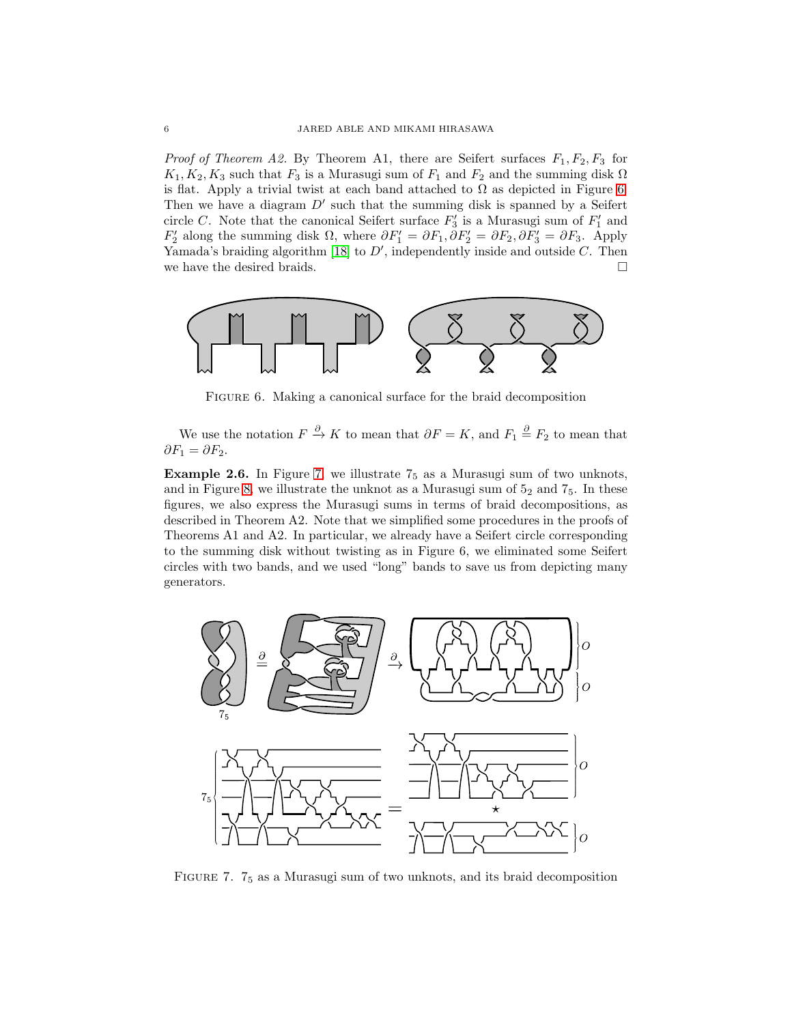*Proof of Theorem A2.* By Theorem A1, there are Seifert surfaces  $F_1, F_2, F_3$  for  $K_1, K_2, K_3$  such that  $F_3$  is a Murasugi sum of  $F_1$  and  $F_2$  and the summing disk  $\Omega$ is flat. Apply a trivial twist at each band attached to  $\Omega$  as depicted in Figure [6.](#page-5-2) Then we have a diagram  $D'$  such that the summing disk is spanned by a Seifert circle C. Note that the canonical Seifert surface  $F_3'$  is a Murasugi sum of  $F_1'$  and  $F'_2$  along the summing disk  $\Omega$ , where  $\partial F'_1 = \partial F_1$ ,  $\partial F'_2 = \partial F_2$ ,  $\partial F'_3 = \partial F_3$ . Apply Yamada's braiding algorithm [\[18\]](#page-14-7) to  $D'$ , independently inside and outside  $C$ . Then we have the desired braids.  $\Box$ 

<span id="page-5-2"></span>

Figure 6. Making a canonical surface for the braid decomposition

We use the notation  $F \stackrel{\partial}{\to} K$  to mean that  $\partial F = K$ , and  $F_1 \stackrel{\partial}{=} F_2$  to mean that  $\partial F_1 = \partial F_2.$ 

<span id="page-5-1"></span>**Example 2.6.** In Figure [7,](#page-5-0) we illustrate  $7<sub>5</sub>$  as a Murasugi sum of two unknots, and in Figure [8,](#page-6-0) we illustrate the unknot as a Murasugi sum of  $5<sub>2</sub>$  and  $7<sub>5</sub>$ . In these figures, we also express the Murasugi sums in terms of braid decompositions, as described in Theorem A2. Note that we simplified some procedures in the proofs of Theorems A1 and A2. In particular, we already have a Seifert circle corresponding to the summing disk without twisting as in Figure 6, we eliminated some Seifert circles with two bands, and we used "long" bands to save us from depicting many generators.

<span id="page-5-0"></span>

FIGURE 7.  $7<sub>5</sub>$  as a Murasugi sum of two unknots, and its braid decomposition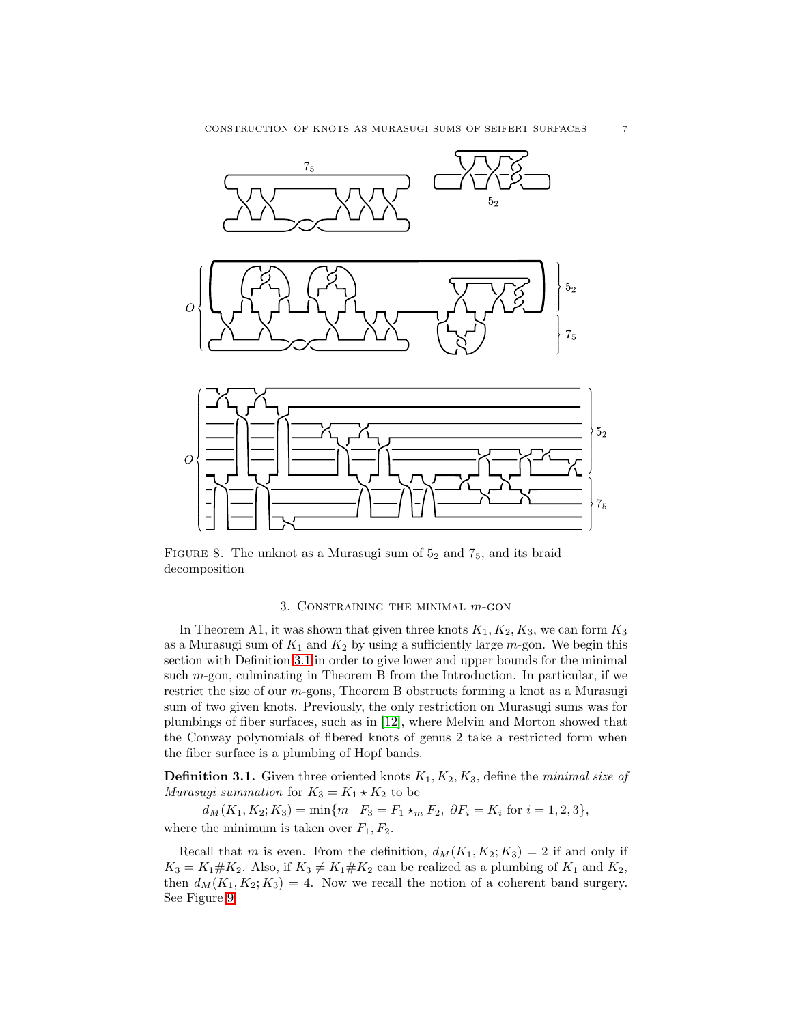<span id="page-6-0"></span>

FIGURE 8. The unknot as a Murasugi sum of  $5<sub>2</sub>$  and  $7<sub>5</sub>$ , and its braid decomposition

## 3. Constraining the minimal m-gon

<span id="page-6-1"></span>In Theorem A1, it was shown that given three knots  $K_1, K_2, K_3$ , we can form  $K_3$ as a Murasugi sum of  $K_1$  and  $K_2$  by using a sufficiently large m-gon. We begin this section with Definition [3.1](#page-6-2) in order to give lower and upper bounds for the minimal such m-gon, culminating in Theorem B from the Introduction. In particular, if we restrict the size of our m-gons, Theorem B obstructs forming a knot as a Murasugi sum of two given knots. Previously, the only restriction on Murasugi sums was for plumbings of fiber surfaces, such as in [\[12\]](#page-14-8), where Melvin and Morton showed that the Conway polynomials of fibered knots of genus 2 take a restricted form when the fiber surface is a plumbing of Hopf bands.

<span id="page-6-2"></span>**Definition 3.1.** Given three oriented knots  $K_1, K_2, K_3$ , define the *minimal size of Murasugi summation* for  $K_3 = K_1 \star K_2$  to be

 $d_M(K_1, K_2; K_3) = \min\{m \mid F_3 = F_1 \star_m F_2, \ \partial F_i = K_i \text{ for } i = 1, 2, 3\},\$ where the minimum is taken over  $F_1, F_2$ .

Recall that m is even. From the definition,  $d_M(K_1, K_2; K_3) = 2$  if and only if  $K_3 = K_1 \# K_2$ . Also, if  $K_3 \neq K_1 \# K_2$  can be realized as a plumbing of  $K_1$  and  $K_2$ , then  $d_M(K_1, K_2; K_3) = 4$ . Now we recall the notion of a coherent band surgery. See Figure [9.](#page-7-1)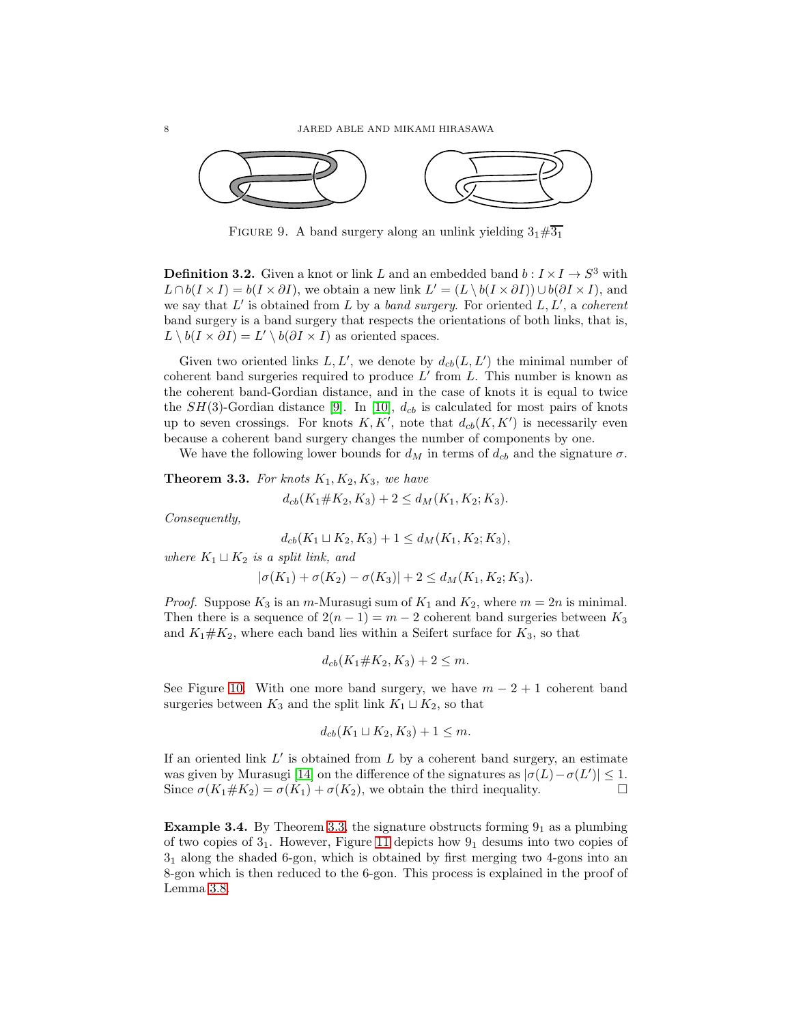<span id="page-7-1"></span>

FIGURE 9. A band surgery along an unlink yielding  $3_1\#3_1$ 

<span id="page-7-0"></span>**Definition 3.2.** Given a knot or link L and an embedded band  $b: I \times I \to S^3$  with  $L \cap b(I \times I) = b(I \times \partial I)$ , we obtain a new link  $L' = (L \setminus b(I \times \partial I)) \cup b(\partial I \times I)$ , and we say that L ′ is obtained from L by a *band surgery*. For oriented L, L′ , a *coherent* band surgery is a band surgery that respects the orientations of both links, that is,  $L \setminus b(I \times \partial I) = L' \setminus b(\partial I \times I)$  as oriented spaces.

Given two oriented links  $L, L'$ , we denote by  $d_{cb}(L, L')$  the minimal number of coherent band surgeries required to produce  $L'$  from  $L$ . This number is known as the coherent band-Gordian distance, and in the case of knots it is equal to twice the  $SH(3)$ -Gordian distance [\[9\]](#page-14-9). In [\[10\]](#page-14-10),  $d_{cb}$  is calculated for most pairs of knots up to seven crossings. For knots  $K, K'$ , note that  $d_{cb}(K, K')$  is necessarily even because a coherent band surgery changes the number of components by one.

We have the following lower bounds for  $d_M$  in terms of  $d_{cb}$  and the signature  $\sigma$ .

<span id="page-7-2"></span>**Theorem 3.3.** For knots  $K_1, K_2, K_3$ , we have  $d_{cb}(K_1 \# K_2, K_3) + 2 \leq d_M(K_1, K_2; K_3).$ 

*Consequently,*

$$
d_{cb}(K_1 \sqcup K_2, K_3) + 1 \le d_M(K_1, K_2; K_3),
$$

*where*  $K_1 \sqcup K_2$  *is a split link, and* 

$$
|\sigma(K_1) + \sigma(K_2) - \sigma(K_3)| + 2 \le d_M(K_1, K_2; K_3).
$$

*Proof.* Suppose  $K_3$  is an m-Murasugi sum of  $K_1$  and  $K_2$ , where  $m = 2n$  is minimal. Then there is a sequence of  $2(n-1) = m-2$  coherent band surgeries between  $K_3$ and  $K_1 \# K_2$ , where each band lies within a Seifert surface for  $K_3$ , so that

$$
d_{cb}(K_1 \# K_2, K_3) + 2 \le m.
$$

See Figure [10.](#page-8-0) With one more band surgery, we have  $m - 2 + 1$  coherent band surgeries between  $K_3$  and the split link  $K_1 \sqcup K_2$ , so that

$$
d_{cb}(K_1 \sqcup K_2, K_3) + 1 \leq m.
$$

If an oriented link  $L'$  is obtained from  $L$  by a coherent band surgery, an estimate was given by Murasugi [\[14\]](#page-14-11) on the difference of the signatures as  $|\sigma(L) - \sigma(L')| \leq 1$ . Since  $\sigma(K_1 \# K_2) = \sigma(K_1) + \sigma(K_2)$ , we obtain the third inequality.

**Example 3.4.** By Theorem [3.3,](#page-7-2) the signature obstructs forming  $9<sub>1</sub>$  as a plumbing of two copies of  $3<sub>1</sub>$ . However, Figure [11](#page-8-1) depicts how  $9<sub>1</sub>$  desums into two copies of 31 along the shaded 6-gon, which is obtained by first merging two 4-gons into an 8-gon which is then reduced to the 6-gon. This process is explained in the proof of Lemma [3.8.](#page-9-0)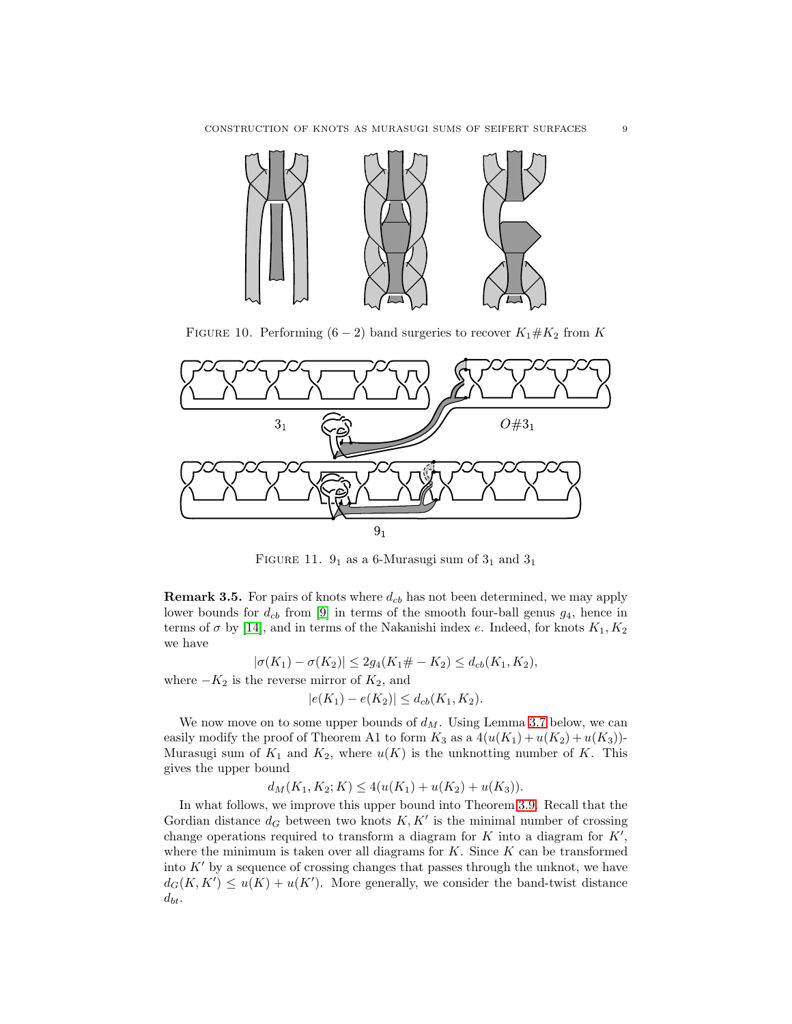<span id="page-8-0"></span>

FIGURE 10. Performing  $(6-2)$  band surgeries to recover  $K_1 \# K_2$  from K

<span id="page-8-1"></span>

FIGURE 11.  $9_1$  as a 6-Murasugi sum of  $3_1$  and  $3_1$ 

**Remark 3.5.** For pairs of knots where  $d_{cb}$  has not been determined, we may apply lower bounds for  $d_{cb}$  from [\[9\]](#page-14-9) in terms of the smooth four-ball genus  $g_4$ , hence in terms of  $\sigma$  by [\[14\]](#page-14-11), and in terms of the Nakanishi index e. Indeed, for knots  $K_1, K_2$ we have

$$
|\sigma(K_1) - \sigma(K_2)| \le 2g_4(K_1 \# - K_2) \le d_{cb}(K_1, K_2),
$$
 where  $-K_2$  is the reverse mirror of  $K_2$ , and

$$
|e(K_1) - e(K_2)| \le d_{cb}(K_1, K_2).
$$

We now move on to some upper bounds of  $d_M$ . Using Lemma [3.7](#page-9-1) below, we can easily modify the proof of Theorem A1 to form  $K_3$  as a  $4(u(K_1) + u(K_2) + u(K_3))$ -Murasugi sum of  $K_1$  and  $K_2$ , where  $u(K)$  is the unknotting number of K. This gives the upper bound

 $d_M(K_1, K_2; K) \leq 4(u(K_1) + u(K_2) + u(K_3)).$ 

In what follows, we improve this upper bound into Theorem [3.9.](#page-10-0) Recall that the Gordian distance  $d_G$  between two knots  $K, K'$  is the minimal number of crossing change operations required to transform a diagram for  $K$  into a diagram for  $K'$ , where the minimum is taken over all diagrams for  $K$ . Since  $K$  can be transformed into  $K'$  by a sequence of crossing changes that passes through the unknot, we have  $d_G(K, K') \le u(K) + u(K')$ . More generally, we consider the band-twist distance  $d_{bt}$ .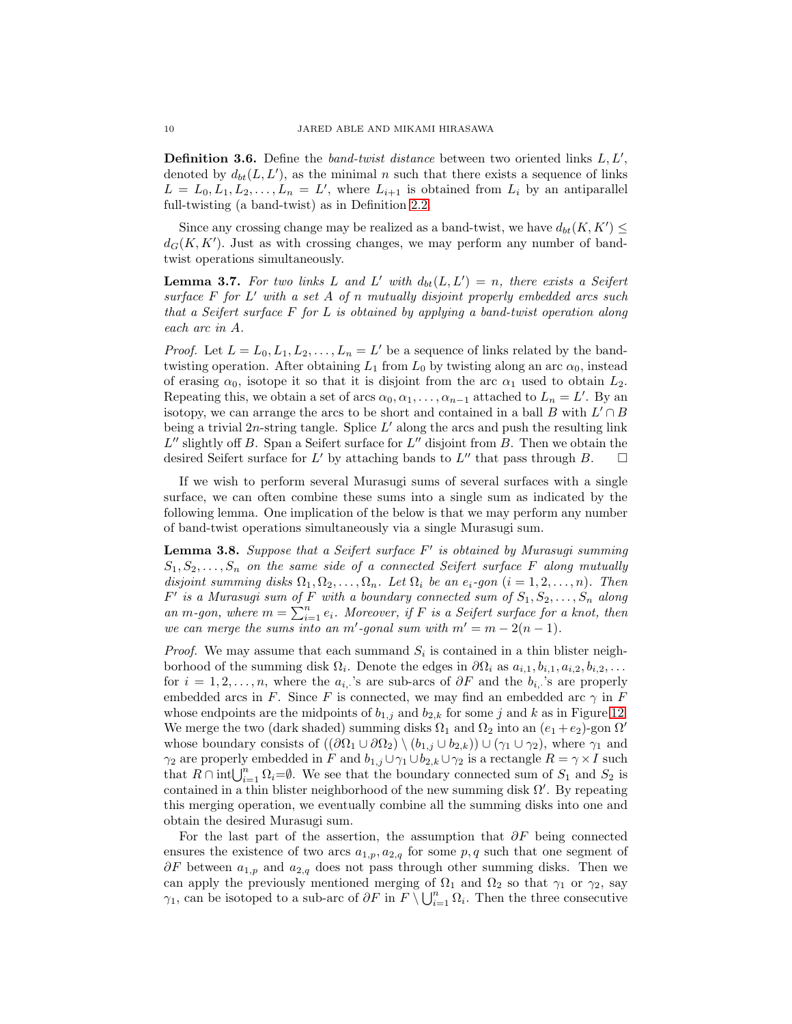**Definition 3.6.** Define the *band-twist distance* between two oriented links  $L, L'$ , denoted by  $d_{bt}(L, L')$ , as the minimal n such that there exists a sequence of links  $L = L_0, L_1, L_2, \ldots, L_n = L'$ , where  $L_{i+1}$  is obtained from  $L_i$  by an antiparallel full-twisting (a band-twist) as in Definition [2.2.](#page-2-1)

Since any crossing change may be realized as a band-twist, we have  $d_{bt}(K, K') \leq$  $d_G(K, K')$ . Just as with crossing changes, we may perform any number of bandtwist operations simultaneously.

<span id="page-9-1"></span>**Lemma 3.7.** For two links L and L' with  $d_{bt}(L, L') = n$ , there exists a Seifert *surface* F *for* L ′ *with a set* A *of* n *mutually disjoint properly embedded arcs such that a Seifert surface* F *for* L *is obtained by applying a band-twist operation along each arc in* A*.*

*Proof.* Let  $L = L_0, L_1, L_2, \ldots, L_n = L'$  be a sequence of links related by the bandtwisting operation. After obtaining  $L_1$  from  $L_0$  by twisting along an arc  $\alpha_0$ , instead of erasing  $\alpha_0$ , isotope it so that it is disjoint from the arc  $\alpha_1$  used to obtain  $L_2$ . Repeating this, we obtain a set of arcs  $\alpha_0, \alpha_1, \ldots, \alpha_{n-1}$  attached to  $L_n = L'$ . By an isotopy, we can arrange the arcs to be short and contained in a ball B with  $L' \cap B$ being a trivial 2n-string tangle. Splice  $L'$  along the arcs and push the resulting link  $L''$  slightly off B. Span a Seifert surface for  $L''$  disjoint from B. Then we obtain the desired Seifert surface for L' by attaching bands to L'' that pass through B.  $\square$ 

If we wish to perform several Murasugi sums of several surfaces with a single surface, we can often combine these sums into a single sum as indicated by the following lemma. One implication of the below is that we may perform any number of band-twist operations simultaneously via a single Murasugi sum.

<span id="page-9-0"></span>Lemma 3.8. *Suppose that a Seifert surface* F ′ *is obtained by Murasugi summing*  $S_1, S_2, \ldots, S_n$  on the same side of a connected Seifert surface F along mutually *disjoint summing disks*  $\Omega_1, \Omega_2, \ldots, \Omega_n$ *. Let*  $\Omega_i$  *be an e<sub>i</sub>-gon* (*i* = 1, 2, ..., *n*)*. Then*  $F'$  is a Murasugi sum of  $F$  with a boundary connected sum of  $S_1, S_2, \ldots, S_n$  along an m-gon, where  $m = \sum_{i=1}^{n} e_i$ . Moreover, if F is a Seifert surface for a knot, then *we can merge the sums into an m'*-gonal sum with  $m' = m - 2(n - 1)$ .

*Proof.* We may assume that each summand  $S_i$  is contained in a thin blister neighborhood of the summing disk  $\Omega_i$ . Denote the edges in  $\partial\Omega_i$  as  $a_{i,1}, b_{i,1}, a_{i,2}, b_{i,2}, \ldots$ for  $i = 1, 2, ..., n$ , where the  $a_{i}$ , 's are sub-arcs of  $\partial F$  and the  $b_{i}$ , 's are properly embedded arcs in F. Since F is connected, we may find an embedded arc  $\gamma$  in F whose endpoints are the midpoints of  $b_{1,j}$  and  $b_{2,k}$  for some j and k as in Figure [12.](#page-10-1) We merge the two (dark shaded) summing disks  $\Omega_1$  and  $\Omega_2$  into an  $(e_1 + e_2)$ -gon  $\Omega'$ whose boundary consists of  $((\partial \Omega_1 \cup \partial \Omega_2) \setminus (b_{1,j} \cup b_{2,k})) \cup (\gamma_1 \cup \gamma_2)$ , where  $\gamma_1$  and  $\gamma_2$  are properly embedded in F and  $b_{1,j} \cup \gamma_1 \cup b_{2,k} \cup \gamma_2$  is a rectangle  $R = \gamma \times I$  such that  $R \cap \text{int} \bigcup_{i=1}^{n} \Omega_i = \emptyset$ . We see that the boundary connected sum of  $S_1$  and  $S_2$  is contained in a thin blister neighborhood of the new summing disk  $\Omega'$ . By repeating this merging operation, we eventually combine all the summing disks into one and obtain the desired Murasugi sum.

For the last part of the assertion, the assumption that  $\partial F$  being connected ensures the existence of two arcs  $a_{1,p}$ ,  $a_{2,q}$  for some p, q such that one segment of  $\partial F$  between  $a_{1,p}$  and  $a_{2,q}$  does not pass through other summing disks. Then we can apply the previously mentioned merging of  $\Omega_1$  and  $\Omega_2$  so that  $\gamma_1$  or  $\gamma_2$ , say  $\gamma_1$ , can be isotoped to a sub-arc of  $\partial F$  in  $F \setminus \bigcup_{i=1}^n \Omega_i$ . Then the three consecutive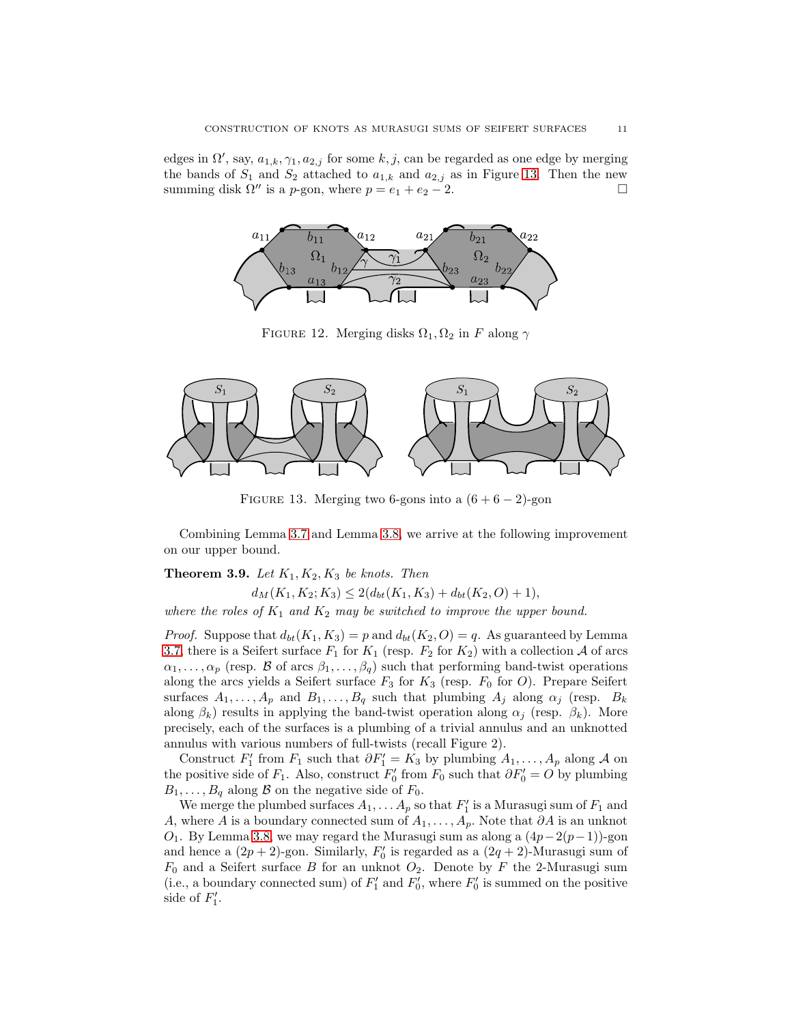<span id="page-10-1"></span>edges in  $\Omega'$ , say,  $a_{1,k}$ ,  $\gamma_1$ ,  $a_{2,j}$  for some k, j, can be regarded as one edge by merging the bands of  $S_1$  and  $S_2$  attached to  $a_{1,k}$  and  $a_{2,j}$  as in Figure [13.](#page-10-2) Then the new summing disk  $\Omega''$  is a *p*-gon, where  $p = e_1 + e_2 - 2$ .



FIGURE 12. Merging disks  $\Omega_1, \Omega_2$  in F along  $\gamma$ 

<span id="page-10-2"></span>

FIGURE 13. Merging two 6-gons into a  $(6+6-2)$ -gon

Combining Lemma [3.7](#page-9-1) and Lemma [3.8,](#page-9-0) we arrive at the following improvement on our upper bound.

## <span id="page-10-0"></span>**Theorem 3.9.** Let  $K_1, K_2, K_3$  be knots. Then

 $d_M(K_1, K_2; K_3) \leq 2(d_{bt}(K_1, K_3) + d_{bt}(K_2, O) + 1),$ 

*where the roles of*  $K_1$  *and*  $K_2$  *may be switched to improve the upper bound.* 

*Proof.* Suppose that  $d_{bt}(K_1, K_3) = p$  and  $d_{bt}(K_2, O) = q$ . As guaranteed by Lemma [3.7,](#page-9-1) there is a Seifert surface  $F_1$  for  $K_1$  (resp.  $F_2$  for  $K_2$ ) with a collection A of arcs  $\alpha_1, \ldots, \alpha_p$  (resp. B of arcs  $\beta_1, \ldots, \beta_q$ ) such that performing band-twist operations along the arcs yields a Seifert surface  $F_3$  for  $K_3$  (resp.  $F_0$  for O). Prepare Seifert surfaces  $A_1, \ldots, A_p$  and  $B_1, \ldots, B_q$  such that plumbing  $A_j$  along  $\alpha_j$  (resp.  $B_k$ along  $\beta_k$ ) results in applying the band-twist operation along  $\alpha_j$  (resp.  $\beta_k$ ). More precisely, each of the surfaces is a plumbing of a trivial annulus and an unknotted annulus with various numbers of full-twists (recall Figure 2).

Construct  $F'_1$  from  $F_1$  such that  $\partial F'_1 = K_3$  by plumbing  $A_1, \ldots, A_p$  along A on the positive side of  $F_1$ . Also, construct  $F'_0$  from  $F_0$  such that  $\partial F'_0 = O$  by plumbing  $B_1, \ldots, B_q$  along  $\beta$  on the negative side of  $F_0$ .

We merge the plumbed surfaces  $A_1, \ldots A_p$  so that  $F'_1$  is a Murasugi sum of  $F_1$  and A, where A is a boundary connected sum of  $A_1, \ldots, A_p$ . Note that ∂A is an unknot O<sub>1</sub>. By Lemma [3.8,](#page-9-0) we may regard the Murasugi sum as along a  $(4p-2(p-1))$ -gon and hence a  $(2p + 2)$ -gon. Similarly,  $F'_0$  is regarded as a  $(2q + 2)$ -Murasugi sum of  $F_0$  and a Seifert surface B for an unknot  $O_2$ . Denote by F the 2-Murasugi sum (i.e., a boundary connected sum) of  $F'_1$  and  $F'_0$ , where  $F'_0$  is summed on the positive side of  $F_1'$ .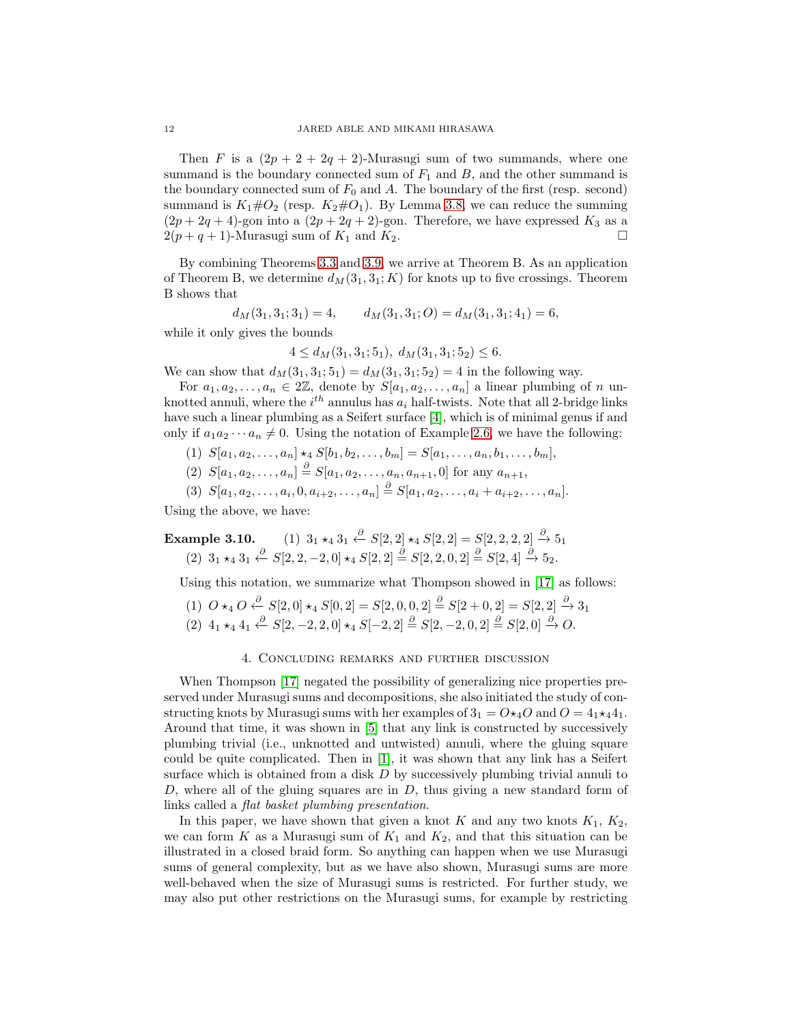Then F is a  $(2p + 2 + 2q + 2)$ -Murasugi sum of two summands, where one summand is the boundary connected sum of  $F_1$  and  $B$ , and the other summand is the boundary connected sum of  $F_0$  and A. The boundary of the first (resp. second) summand is  $K_1 \# O_2$  (resp.  $K_2 \# O_1$ ). By Lemma [3.8,](#page-9-0) we can reduce the summing  $(2p+2q+4)$ -gon into a  $(2p+2q+2)$ -gon. Therefore, we have expressed  $K_3$  as a  $2(p+q+1)$ -Murasugi sum of  $K_1$  and  $K_2$ .

By combining Theorems [3.3](#page-7-2) and [3.9,](#page-10-0) we arrive at Theorem B. As an application of Theorem B, we determine  $d_M(3_1,3_1; K)$  for knots up to five crossings. Theorem B shows that

$$
d_M(3_1, 3_1; 3_1) = 4, \qquad d_M(3_1, 3_1; O) = d_M(3_1, 3_1; 4_1) = 6,
$$

while it only gives the bounds

$$
4 \le d_M(3_1, 3_1; 5_1), \ d_M(3_1, 3_1; 5_2) \le 6.
$$

We can show that  $d_M(3_1, 3_1; 5_1) = d_M(3_1, 3_1; 5_2) = 4$  in the following way.

For  $a_1, a_2, \ldots, a_n \in 2\mathbb{Z}$ , denote by  $S[a_1, a_2, \ldots, a_n]$  a linear plumbing of n unknotted annuli, where the  $i^{th}$  annulus has  $a_i$  half-twists. Note that all 2-bridge links have such a linear plumbing as a Seifert surface [\[4\]](#page-13-3), which is of minimal genus if and only if  $a_1 a_2 \cdots a_n \neq 0$ . Using the notation of Example [2.6,](#page-5-1) we have the following:

- (1)  $S[a_1, a_2, \ldots, a_n] \star_4 S[b_1, b_2, \ldots, b_m] = S[a_1, \ldots, a_n, b_1, \ldots, b_m],$
- (2)  $S[a_1, a_2, \ldots, a_n] \stackrel{\partial}{=} S[a_1, a_2, \ldots, a_n, a_{n+1}, 0]$  for any  $a_{n+1}$ ,

$$
(3) S[a_1, a_2, \ldots, a_i, 0, a_{i+2}, \ldots, a_n] \stackrel{\partial}{=} S[a_1, a_2, \ldots, a_i + a_{i+2}, \ldots, a_n].
$$

Using the above, we have:

Example 3.10. (1)  $3_1 \star_4 3_1 \stackrel{\partial}{\leftarrow} S[2,2] \star_4 S[2,2] = S[2,2,2,2] \stackrel{\partial}{\rightarrow} 5_1$  $(2)$   $3_1 \star_4 3_1 \stackrel{\partial}{\leftarrow} S[2, 2, -2, 0] \star_4 S[2, 2] \stackrel{\partial}{=} S[2, 2, 0, 2] \stackrel{\partial}{=} S[2, 4] \stackrel{\partial}{\rightarrow} 5_2.$ 

Using this notation, we summarize what Thompson showed in [\[17\]](#page-14-6) as follows:

$$
\begin{array}{c} (1) \ O \star_4 O \xleftarrow{\partial} S[2,0] \star_4 S[0,2] = S[2,0,0,2] \xrightarrow{\partial} S[2+0,2] = S[2,2] \xrightarrow{\partial} 3_1 \\ (2) \ 4_1 \star_4 4_1 \xleftarrow{\partial} S[2,-2,2,0] \star_4 S[-2,2] \xrightarrow{\partial} S[2,-2,0,2] \xrightarrow{\partial} S[2,0] \xrightarrow{\partial} O. \end{array}
$$

#### 4. Concluding remarks and further discussion

When Thompson [\[17\]](#page-14-6) negated the possibility of generalizing nice properties preserved under Murasugi sums and decompositions, she also initiated the study of constructing knots by Murasugi sums with her examples of  $3_1 = O \star_4 O$  and  $O = 4_1 \star_4 4_1$ . Around that time, it was shown in [\[5\]](#page-13-4) that any link is constructed by successively plumbing trivial (i.e., unknotted and untwisted) annuli, where the gluing square could be quite complicated. Then in [\[1\]](#page-13-5), it was shown that any link has a Seifert surface which is obtained from a disk  $D$  by successively plumbing trivial annuli to  $D$ , where all of the gluing squares are in  $D$ , thus giving a new standard form of links called a *flat basket plumbing presentation*.

In this paper, we have shown that given a knot K and any two knots  $K_1$ ,  $K_2$ , we can form K as a Murasugi sum of  $K_1$  and  $K_2$ , and that this situation can be illustrated in a closed braid form. So anything can happen when we use Murasugi sums of general complexity, but as we have also shown, Murasugi sums are more well-behaved when the size of Murasugi sums is restricted. For further study, we may also put other restrictions on the Murasugi sums, for example by restricting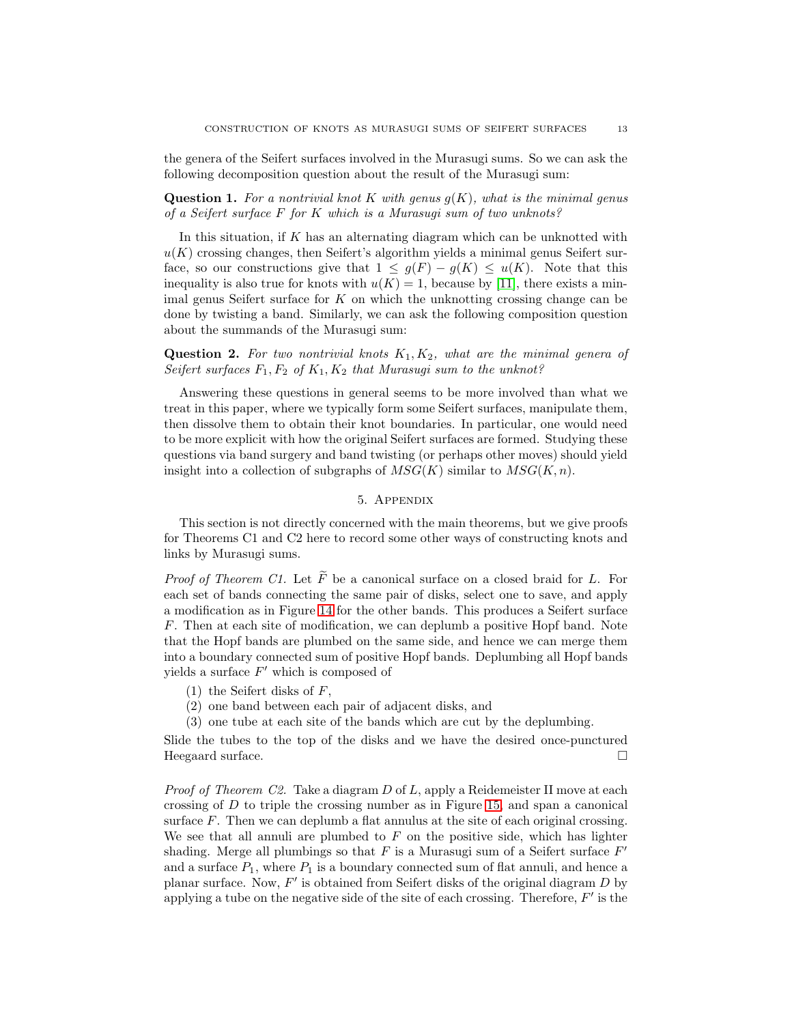the genera of the Seifert surfaces involved in the Murasugi sums. So we can ask the following decomposition question about the result of the Murasugi sum:

Question 1. *For a nontrivial knot* K *with genus* g(K)*, what is the minimal genus of a Seifert surface* F *for* K *which is a Murasugi sum of two unknots?*

In this situation, if  $K$  has an alternating diagram which can be unknotted with  $u(K)$  crossing changes, then Seifert's algorithm yields a minimal genus Seifert surface, so our constructions give that  $1 \leq g(F) - g(K) \leq u(K)$ . Note that this inequality is also true for knots with  $u(K) = 1$ , because by [\[11\]](#page-14-12), there exists a minimal genus Seifert surface for  $K$  on which the unknotting crossing change can be done by twisting a band. Similarly, we can ask the following composition question about the summands of the Murasugi sum:

Question 2. For two nontrivial knots  $K_1, K_2$ , what are the minimal genera of *Seifert surfaces*  $F_1, F_2$  *of*  $K_1, K_2$  *that Murasugi sum to the unknot?* 

Answering these questions in general seems to be more involved than what we treat in this paper, where we typically form some Seifert surfaces, manipulate them, then dissolve them to obtain their knot boundaries. In particular, one would need to be more explicit with how the original Seifert surfaces are formed. Studying these questions via band surgery and band twisting (or perhaps other moves) should yield insight into a collection of subgraphs of  $MSG(K)$  similar to  $MSG(K, n)$ .

## 5. Appendix

<span id="page-12-0"></span>This section is not directly concerned with the main theorems, but we give proofs for Theorems C1 and C2 here to record some other ways of constructing knots and links by Murasugi sums.

*Proof of Theorem C1.* Let  $\widetilde{F}$  be a canonical surface on a closed braid for L. For each set of bands connecting the same pair of disks, select one to save, and apply a modification as in Figure [14](#page-13-6) for the other bands. This produces a Seifert surface F. Then at each site of modification, we can deplumb a positive Hopf band. Note that the Hopf bands are plumbed on the same side, and hence we can merge them into a boundary connected sum of positive Hopf bands. Deplumbing all Hopf bands yields a surface  $F'$  which is composed of

- $(1)$  the Seifert disks of F,
- (2) one band between each pair of adjacent disks, and
- (3) one tube at each site of the bands which are cut by the deplumbing.

Slide the tubes to the top of the disks and we have the desired once-punctured Heegaard surface.

*Proof of Theorem C2.* Take a diagram D of L, apply a Reidemeister II move at each crossing of D to triple the crossing number as in Figure [15,](#page-13-7) and span a canonical surface F. Then we can deplumb a flat annulus at the site of each original crossing. We see that all annuli are plumbed to  $F$  on the positive side, which has lighter shading. Merge all plumbings so that  $F$  is a Murasugi sum of a Seifert surface  $F'$ and a surface  $P_1$ , where  $P_1$  is a boundary connected sum of flat annuli, and hence a planar surface. Now,  $F'$  is obtained from Seifert disks of the original diagram D by applying a tube on the negative side of the site of each crossing. Therefore,  $F'$  is the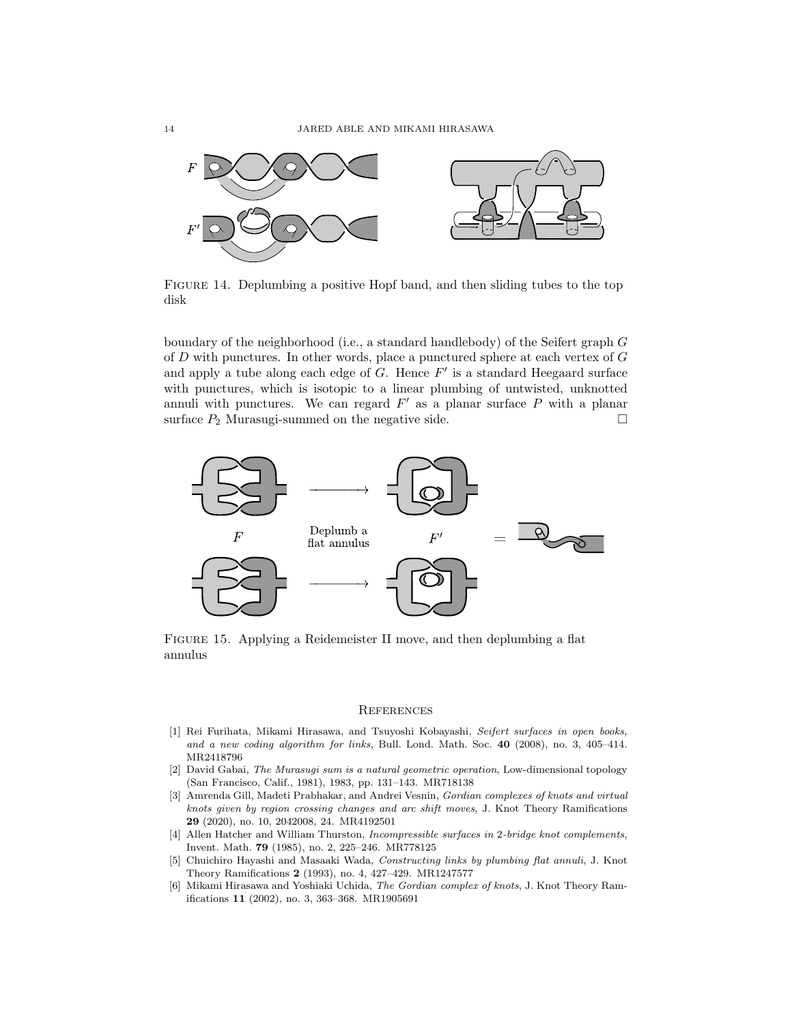<span id="page-13-6"></span>

Figure 14. Deplumbing a positive Hopf band, and then sliding tubes to the top disk

boundary of the neighborhood (i.e., a standard handlebody) of the Seifert graph G of D with punctures. In other words, place a punctured sphere at each vertex of G and apply a tube along each edge of  $G$ . Hence  $F'$  is a standard Heegaard surface with punctures, which is isotopic to a linear plumbing of untwisted, unknotted annuli with punctures. We can regard  $F'$  as a planar surface  $P$  with a planar surface  $P_2$  Murasugi-summed on the negative side.

<span id="page-13-7"></span>

Figure 15. Applying a Reidemeister II move, and then deplumbing a flat annulus

#### **REFERENCES**

- <span id="page-13-5"></span>[1] Rei Furihata, Mikami Hirasawa, and Tsuyoshi Kobayashi, Seifert surfaces in open books, and a new coding algorithm for links, Bull. Lond. Math. Soc.  $40$  (2008), no. 3, 405–414. MR2418796
- <span id="page-13-2"></span>[2] David Gabai, The Murasugi sum is a natural geometric operation, Low-dimensional topology (San Francisco, Calif., 1981), 1983, pp. 131–143. MR718138
- <span id="page-13-1"></span>[3] Amrenda Gill, Madeti Prabhakar, and Andrei Vesnin, Gordian complexes of knots and virtual knots given by region crossing changes and arc shift moves, J. Knot Theory Ramifications 29 (2020), no. 10, 2042008, 24. MR4192501
- <span id="page-13-3"></span>[4] Allen Hatcher and William Thurston, Incompressible surfaces in 2-bridge knot complements, Invent. Math. 79 (1985), no. 2, 225–246. MR778125
- <span id="page-13-4"></span>[5] Chuichiro Hayashi and Masaaki Wada, Constructing links by plumbing flat annuli, J. Knot Theory Ramifications 2 (1993), no. 4, 427–429. MR1247577
- <span id="page-13-0"></span>[6] Mikami Hirasawa and Yoshiaki Uchida, The Gordian complex of knots, J. Knot Theory Ramifications 11 (2002), no. 3, 363–368. MR1905691